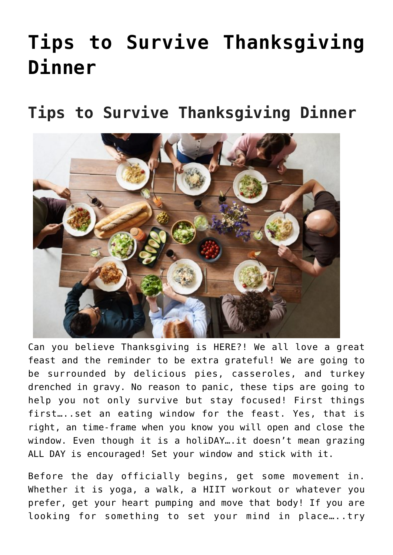# **[Tips to Survive Thanksgiving](https://alethiatruefit.com/blog/tips-to-survive-thanksgiving-dinner/) [Dinner](https://alethiatruefit.com/blog/tips-to-survive-thanksgiving-dinner/)**

**Tips to Survive Thanksgiving Dinner**



Can you believe Thanksgiving is HERE?! We all love a great feast and the reminder to be extra grateful! We are going to be surrounded by delicious pies, casseroles, and turkey drenched in gravy. No reason to panic, these tips are going to help you not only survive but stay focused! First things first…..set an eating window for the feast. Yes, that is right, an time-frame when you know you will open and close the window. Even though it is a holiDAY….it doesn't mean grazing ALL DAY is encouraged! Set your window and stick with it.

Before the day officially begins, get some movement in. Whether it is yoga, a walk, a HIIT workout or whatever you prefer, get your heart pumping and move that body! If you are looking for something to set your mind in place…..try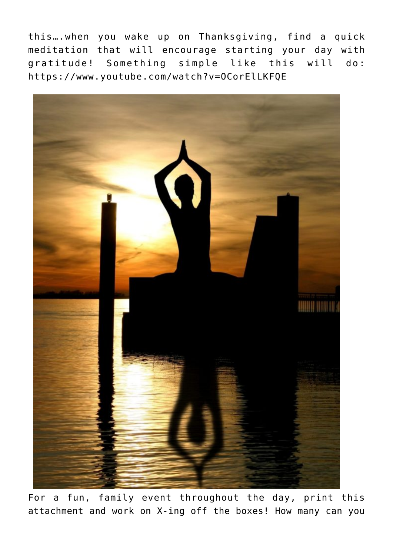this….when you wake up on Thanksgiving, find a quick meditation that will encourage starting your day with gratitude! Something simple like this will do: <https://www.youtube.com/watch?v=OCorElLKFQE>



For a fun, family event throughout the day, print this attachment and work on X-ing off the boxes! How many can you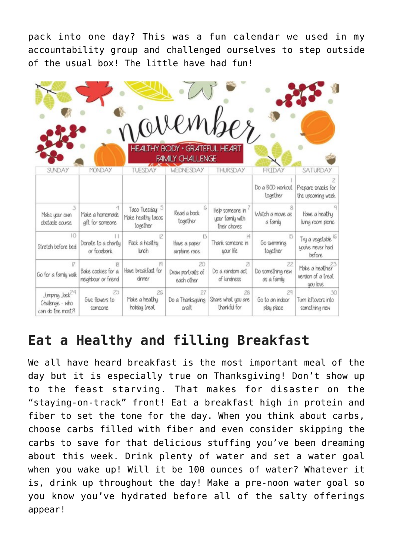pack into one day? This was a fun calendar we used in my accountability group and challenged ourselves to step outside of the usual box! The little have had fun!

|                                                                   |                                                |                                                              | <b>HEALTHY BODY + GRATEFUL HEART</b><br><b>FAMILY CHALLENGE</b> | november                                            |                                       |                                                                  |
|-------------------------------------------------------------------|------------------------------------------------|--------------------------------------------------------------|-----------------------------------------------------------------|-----------------------------------------------------|---------------------------------------|------------------------------------------------------------------|
| SUNDAY                                                            | <b>MONDAY</b>                                  | TUESDAY                                                      | <b>WEDNESDAY</b>                                                | THURSDAY                                            | <b>FRIDAY</b>                         | SATURDAY                                                         |
|                                                                   |                                                |                                                              |                                                                 |                                                     | Do a BOD workout<br>together          | Prepare snacks for<br>the upcoming week                          |
| 3<br>Make your own<br>obstacle course                             | 4<br>Make a homemade<br>gift for someone       | Taco Tuesday: <sup>5</sup><br>Moke healthy tacos<br>together | G<br>Read a book<br>together                                    | Help someone in<br>your family with<br>their chores | Watch a movie as<br>a family          | Have a healthy<br>living room picnic                             |
| 10<br>Stretch before bed                                          | Donate to a charity<br>or foodbank             | 12<br>Pack a healthy<br><b>Linch</b>                         | 13<br>Howe a poper<br>airplane race                             | 14<br>Thank someone in<br>your life.                | Go swimming<br>together               | Try a vegetable <sup>16</sup><br>you've never had<br>before.     |
| 17<br>Go for a family wak.                                        | B<br>Bake cookies for a<br>neighbour or friend | Have breakfast for<br>dinner                                 | 20<br>Draw portraits of<br>each other                           | 21<br>Do a random act<br>of kindness                | 22<br>Do something new<br>as a family | Moke a healthier <sup>3</sup><br>version of a treat<br>uou love. |
| Jumping Jack <sup>24</sup><br>Challenge - who<br>can do the most? | 25<br>Give flowers to<br>someone               | 26<br>Make a healthy<br>holiday treat                        | 27<br>Do a Thanksgiving<br>craft                                | 28<br>Share what you are<br>thankful for            | 29<br>Go to an indoor<br>play place.  | 30<br>Turn leftovers into<br>something new                       |

### **Eat a Healthy and filling Breakfast**

We all have heard breakfast is the most important meal of the day but it is especially true on Thanksgiving! Don't show up to the feast starving. That makes for disaster on the "staying-on-track" front! Eat a breakfast high in protein and fiber to set the tone for the day. When you think about carbs, choose carbs filled with fiber and even consider skipping the carbs to save for that delicious stuffing you've been dreaming about this week. Drink plenty of water and set a water goal when you wake up! Will it be 100 ounces of water? Whatever it is, drink up throughout the day! Make a pre-noon water goal so you know you've hydrated before all of the salty offerings appear!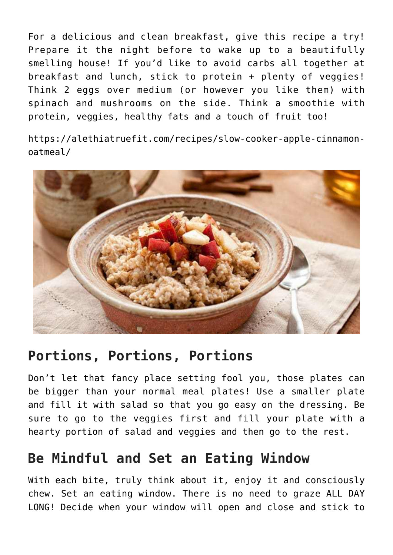For a delicious and clean breakfast, give this recipe a try! Prepare it the night before to wake up to a beautifully smelling house! If you'd like to avoid carbs all together at breakfast and lunch, stick to protein + plenty of veggies! Think 2 eggs over medium (or however you like them) with spinach and mushrooms on the side. Think a smoothie with protein, veggies, healthy fats and a touch of fruit too!

[https://alethiatruefit.com/recipes/slow-cooker-apple-cinnamon](https://alethiatruefit.com/recipes/slow-cooker-apple-cinnamon-oatmeal/)[oatmeal/](https://alethiatruefit.com/recipes/slow-cooker-apple-cinnamon-oatmeal/)



#### **Portions, Portions, Portions**

Don't let that fancy place setting fool you, those plates can be bigger than your normal meal plates! Use a smaller plate and fill it with salad so that you go easy on the dressing. Be sure to go to the veggies first and fill your plate with a hearty portion of salad and veggies and then go to the rest.

#### **Be Mindful and Set an Eating Window**

With each bite, truly think about it, enjoy it and consciously chew. Set an eating window. There is no need to graze ALL DAY LONG! Decide when your window will open and close and stick to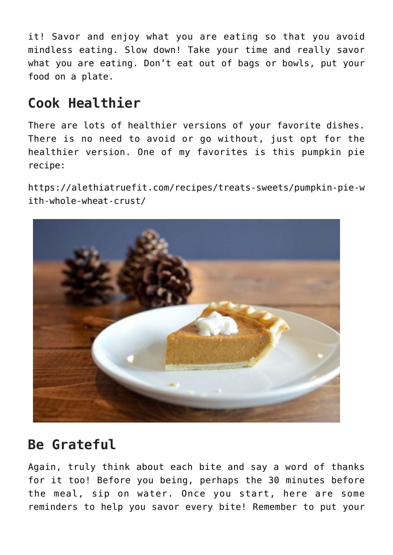it! Savor and enjoy what you are eating so that you avoid mindless eating. Slow down! Take your time and really savor what you are eating. Don't eat out of bags or bowls, put your food on a plate.

#### **Cook Healthier**

There are lots of healthier versions of your favorite dishes. There is no need to avoid or go without, just opt for the healthier version. One of my favorites is this pumpkin pie recipe:

[https://alethiatruefit.com/recipes/treats-sweets/pumpkin-pie-w](https://alethiatruefit.com/recipes/treats-sweets/pumpkin-pie-with-whole-wheat-crust/) [ith-whole-wheat-crust/](https://alethiatruefit.com/recipes/treats-sweets/pumpkin-pie-with-whole-wheat-crust/)



#### **Be Grateful**

Again, truly think about each bite and say a word of thanks for it too! Before you being, perhaps the 30 minutes before the meal, sip on water. Once you start, here are some reminders to help you savor every bite! Remember to put your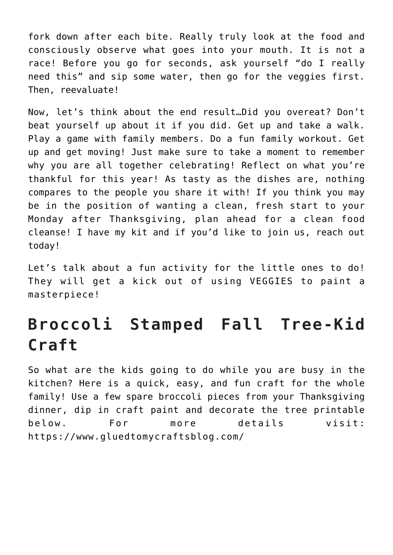fork down after each bite. Really truly look at the food and consciously observe what goes into your mouth. It is not a race! Before you go for seconds, ask yourself "do I really need this" and sip some water, then go for the veggies first. Then, reevaluate!

Now, let's think about the end result…Did you overeat? Don't beat yourself up about it if you did. Get up and take a walk. Play a game with family members. Do a fun family workout. Get up and get moving! Just make sure to take a moment to remember why you are all together celebrating! Reflect on what you're thankful for this year! As tasty as the dishes are, nothing compares to the people you share it with! If you think you may be in the position of wanting a clean, fresh start to your Monday after Thanksgiving, plan ahead for a clean food cleanse! I have my kit and if you'd like to join us, reach out today!

Let's talk about a fun activity for the little ones to do! They will get a kick out of using VEGGIES to paint a masterpiece!

## **Broccoli Stamped Fall Tree-Kid Craft**

So what are the kids going to do while you are busy in the kitchen? Here is a quick, easy, and fun craft for the whole family! Use a few spare broccoli pieces from your Thanksgiving dinner, dip in craft paint and decorate the tree printable below. For more details visit: <https://www.gluedtomycraftsblog.com/>